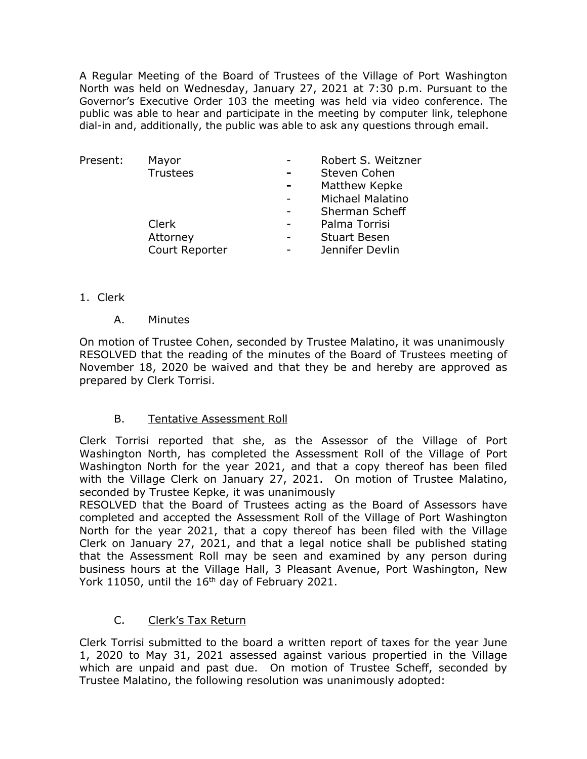A Regular Meeting of the Board of Trustees of the Village of Port Washington North was held on Wednesday, January 27, 2021 at 7:30 p.m. Pursuant to the Governor's Executive Order 103 the meeting was held via video conference. The public was able to hear and participate in the meeting by computer link, telephone dial-in and, additionally, the public was able to ask any questions through email.

| Present: | Mayor           | Robert S. Weitzner  |
|----------|-----------------|---------------------|
|          | <b>Trustees</b> | Steven Cohen        |
|          |                 | Matthew Kepke       |
|          |                 | Michael Malatino    |
|          |                 | Sherman Scheff      |
|          | Clerk           | Palma Torrisi       |
|          | Attorney        | <b>Stuart Besen</b> |
|          | Court Reporter  | Jennifer Devlin     |

### 1. Clerk

A. Minutes

On motion of Trustee Cohen, seconded by Trustee Malatino, it was unanimously RESOLVED that the reading of the minutes of the Board of Trustees meeting of November 18, 2020 be waived and that they be and hereby are approved as prepared by Clerk Torrisi.

### B. Tentative Assessment Roll

Clerk Torrisi reported that she, as the Assessor of the Village of Port Washington North, has completed the Assessment Roll of the Village of Port Washington North for the year 2021, and that a copy thereof has been filed with the Village Clerk on January 27, 2021. On motion of Trustee Malatino, seconded by Trustee Kepke, it was unanimously

RESOLVED that the Board of Trustees acting as the Board of Assessors have completed and accepted the Assessment Roll of the Village of Port Washington North for the year 2021, that a copy thereof has been filed with the Village Clerk on January 27, 2021, and that a legal notice shall be published stating that the Assessment Roll may be seen and examined by any person during business hours at the Village Hall, 3 Pleasant Avenue, Port Washington, New York 11050, until the 16<sup>th</sup> day of February 2021.

# C. Clerk's Tax Return

Clerk Torrisi submitted to the board a written report of taxes for the year June 1, 2020 to May 31, 2021 assessed against various propertied in the Village which are unpaid and past due. On motion of Trustee Scheff, seconded by Trustee Malatino, the following resolution was unanimously adopted: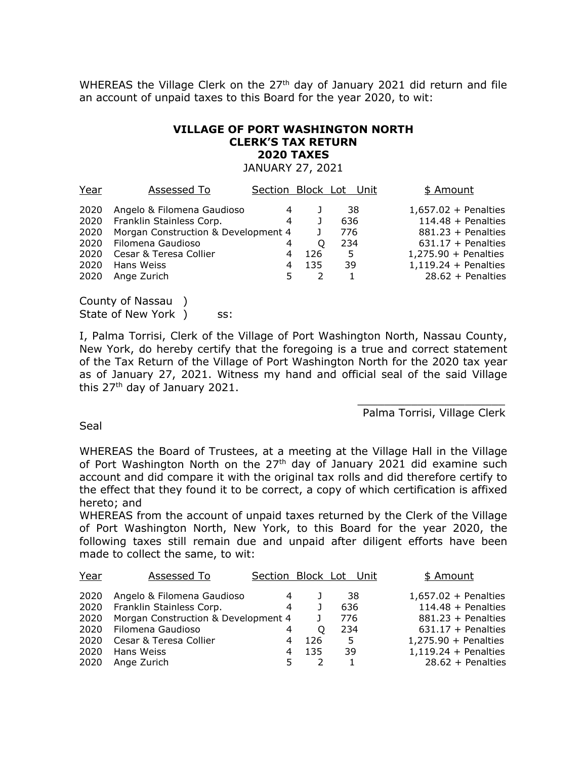WHEREAS the Village Clerk on the  $27<sup>th</sup>$  day of January 2021 did return and file an account of unpaid taxes to this Board for the year 2020, to wit:

#### **VILLAGE OF PORT WASHINGTON NORTH CLERK'S TAX RETURN 2020 TAXES**

JANUARY 27, 2021

Year Assessed To Section Block Lot Unit \$ Amount Angelo & Filomena Gaudioso 4 J 38 1,657.02 + Penalties Franklin Stainless Corp. 4 J 636 114.48 + Penalties 2020 Morgan Construction & Development 4 J 776 881.23 + Penalties Filomena Gaudioso 4 Q 234 631.17 + Penalties Cesar & Teresa Collier 4 126 5 1,275.90 + Penalties Hans Weiss 4 135 39 1,119.24 + Penalties Ange Zurich 5 2 1 28.62 + Penalties

County of Nassau ) State of New York ) ss:

I, Palma Torrisi, Clerk of the Village of Port Washington North, Nassau County, New York, do hereby certify that the foregoing is a true and correct statement of the Tax Return of the Village of Port Washington North for the 2020 tax year as of January 27, 2021. Witness my hand and official seal of the said Village this 27<sup>th</sup> day of January 2021.

> \_\_\_\_\_\_\_\_\_\_\_\_\_\_\_\_\_\_\_\_\_\_ Palma Torrisi, Village Clerk

Seal

WHEREAS the Board of Trustees, at a meeting at the Village Hall in the Village of Port Washington North on the 27<sup>th</sup> day of January 2021 did examine such account and did compare it with the original tax rolls and did therefore certify to the effect that they found it to be correct, a copy of which certification is affixed hereto; and

WHEREAS from the account of unpaid taxes returned by the Clerk of the Village of Port Washington North, New York, to this Board for the year 2020, the following taxes still remain due and unpaid after diligent efforts have been made to collect the same, to wit:

| Year | Assessed To                         | Section Block Lot Unit |     |     | \$ Amount              |
|------|-------------------------------------|------------------------|-----|-----|------------------------|
| 2020 | Angelo & Filomena Gaudioso          | 4                      |     | 38  | $1,657.02 +$ Penalties |
| 2020 | Franklin Stainless Corp.            | 4                      |     | 636 | $114.48 +$ Penalties   |
| 2020 | Morgan Construction & Development 4 |                        |     | 776 | $881.23 +$ Penalties   |
| 2020 | Filomena Gaudioso                   | 4                      | O   | 234 | $631.17 +$ Penalties   |
| 2020 | Cesar & Teresa Collier              | 4                      | 126 | 5   | $1,275.90 +$ Penalties |
| 2020 | Hans Weiss                          | 4                      | 135 | 39  | $1,119.24 +$ Penalties |
| 2020 | Ange Zurich                         |                        |     |     | $28.62 +$ Penalties    |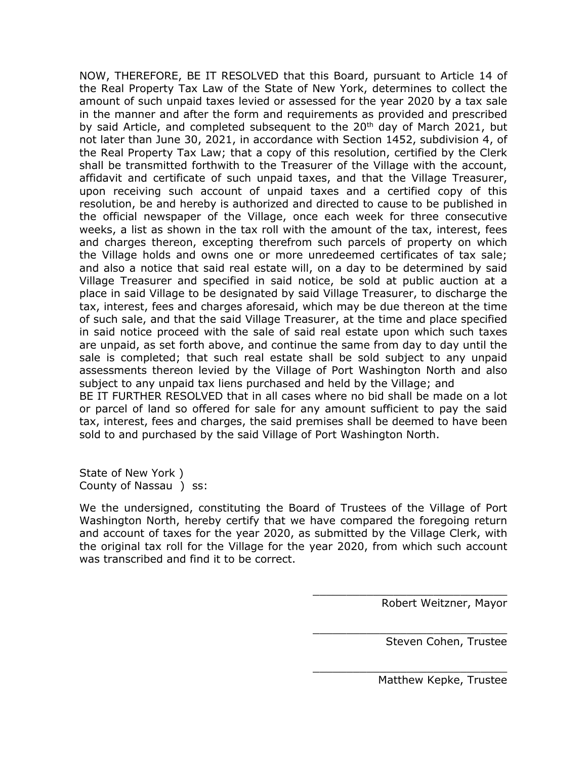NOW, THEREFORE, BE IT RESOLVED that this Board, pursuant to Article 14 of the Real Property Tax Law of the State of New York, determines to collect the amount of such unpaid taxes levied or assessed for the year 2020 by a tax sale in the manner and after the form and requirements as provided and prescribed by said Article, and completed subsequent to the 20<sup>th</sup> day of March 2021, but not later than June 30, 2021, in accordance with Section 1452, subdivision 4, of the Real Property Tax Law; that a copy of this resolution, certified by the Clerk shall be transmitted forthwith to the Treasurer of the Village with the account, affidavit and certificate of such unpaid taxes, and that the Village Treasurer, upon receiving such account of unpaid taxes and a certified copy of this resolution, be and hereby is authorized and directed to cause to be published in the official newspaper of the Village, once each week for three consecutive weeks, a list as shown in the tax roll with the amount of the tax, interest, fees and charges thereon, excepting therefrom such parcels of property on which the Village holds and owns one or more unredeemed certificates of tax sale; and also a notice that said real estate will, on a day to be determined by said Village Treasurer and specified in said notice, be sold at public auction at a place in said Village to be designated by said Village Treasurer, to discharge the tax, interest, fees and charges aforesaid, which may be due thereon at the time of such sale, and that the said Village Treasurer, at the time and place specified in said notice proceed with the sale of said real estate upon which such taxes are unpaid, as set forth above, and continue the same from day to day until the sale is completed; that such real estate shall be sold subject to any unpaid assessments thereon levied by the Village of Port Washington North and also subject to any unpaid tax liens purchased and held by the Village; and BE IT FURTHER RESOLVED that in all cases where no bid shall be made on a lot or parcel of land so offered for sale for any amount sufficient to pay the said tax, interest, fees and charges, the said premises shall be deemed to have been sold to and purchased by the said Village of Port Washington North.

State of New York ) County of Nassau ) ss:

We the undersigned, constituting the Board of Trustees of the Village of Port Washington North, hereby certify that we have compared the foregoing return and account of taxes for the year 2020, as submitted by the Village Clerk, with the original tax roll for the Village for the year 2020, from which such account was transcribed and find it to be correct.

Robert Weitzner, Mayor

\_\_\_\_\_\_\_\_\_\_\_\_\_\_\_\_\_\_\_\_\_\_\_\_\_\_\_\_\_

\_\_\_\_\_\_\_\_\_\_\_\_\_\_\_\_\_\_\_\_\_\_\_\_\_\_\_\_\_

\_\_\_\_\_\_\_\_\_\_\_\_\_\_\_\_\_\_\_\_\_\_\_\_\_\_\_\_\_ Steven Cohen, Trustee

Matthew Kepke, Trustee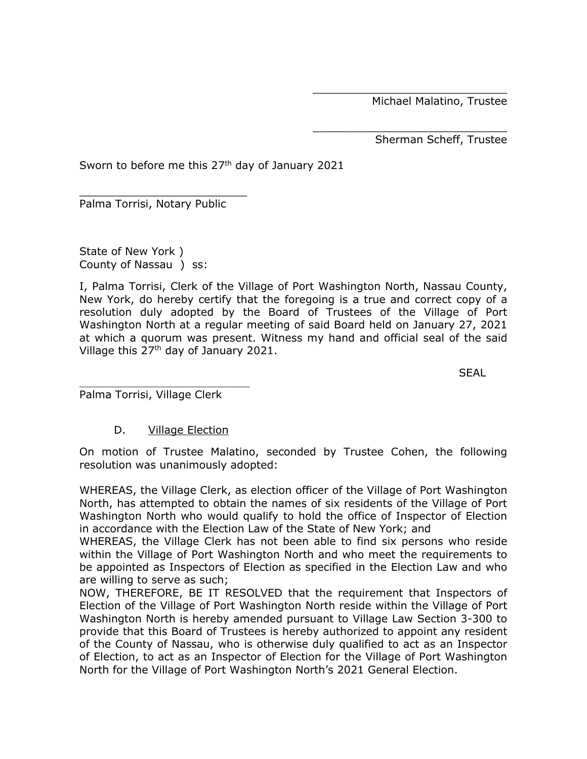Michael Malatino, Trustee

\_\_\_\_\_\_\_\_\_\_\_\_\_\_\_\_\_\_\_\_\_\_\_\_\_\_\_\_\_

\_\_\_\_\_\_\_\_\_\_\_\_\_\_\_\_\_\_\_\_\_\_\_\_\_\_\_\_\_ Sherman Scheff, Trustee

Sworn to before me this  $27<sup>th</sup>$  day of January 2021

\_\_\_\_\_\_\_\_\_\_\_\_\_\_\_\_\_\_\_\_\_\_\_\_\_ Palma Torrisi, Notary Public

State of New York ) County of Nassau ) ss:

I, Palma Torrisi, Clerk of the Village of Port Washington North, Nassau County, New York, do hereby certify that the foregoing is a true and correct copy of a resolution duly adopted by the Board of Trustees of the Village of Port Washington North at a regular meeting of said Board held on January 27, 2021 at which a quorum was present. Witness my hand and official seal of the said Village this 27th day of January 2021.

**SEAL** 

Palma Torrisi, Village Clerk

\_\_\_\_\_\_\_\_\_\_\_\_\_\_\_\_\_\_\_\_\_\_\_\_\_\_\_\_\_\_\_\_\_\_\_

# D. **Village Election**

On motion of Trustee Malatino, seconded by Trustee Cohen, the following resolution was unanimously adopted:

WHEREAS, the Village Clerk, as election officer of the Village of Port Washington North, has attempted to obtain the names of six residents of the Village of Port Washington North who would qualify to hold the office of Inspector of Election in accordance with the Election Law of the State of New York; and

WHEREAS, the Village Clerk has not been able to find six persons who reside within the Village of Port Washington North and who meet the requirements to be appointed as Inspectors of Election as specified in the Election Law and who are willing to serve as such;

NOW, THEREFORE, BE IT RESOLVED that the requirement that Inspectors of Election of the Village of Port Washington North reside within the Village of Port Washington North is hereby amended pursuant to Village Law Section 3-300 to provide that this Board of Trustees is hereby authorized to appoint any resident of the County of Nassau, who is otherwise duly qualified to act as an Inspector of Election, to act as an Inspector of Election for the Village of Port Washington North for the Village of Port Washington North's 2021 General Election.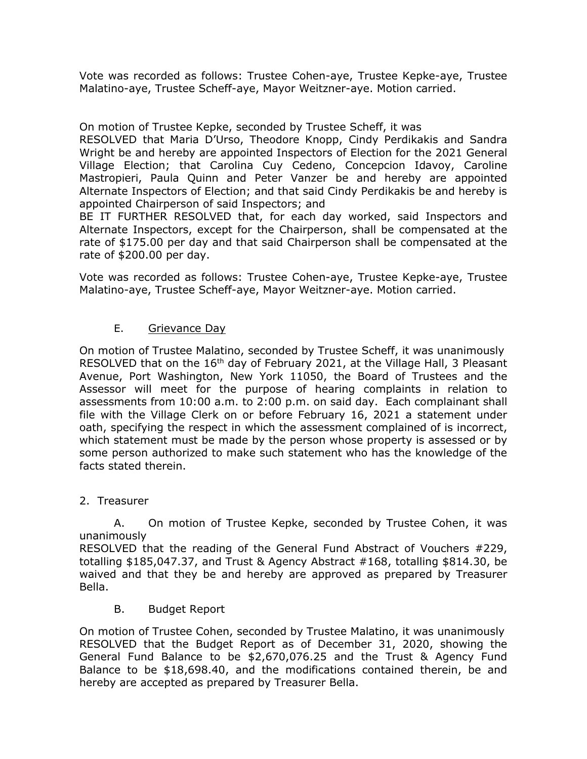Vote was recorded as follows: Trustee Cohen-aye, Trustee Kepke-aye, Trustee Malatino-aye, Trustee Scheff-aye, Mayor Weitzner-aye. Motion carried.

On motion of Trustee Kepke, seconded by Trustee Scheff, it was

RESOLVED that Maria D'Urso, Theodore Knopp, Cindy Perdikakis and Sandra Wright be and hereby are appointed Inspectors of Election for the 2021 General Village Election; that Carolina Cuy Cedeno, Concepcion Idavoy, Caroline Mastropieri, Paula Quinn and Peter Vanzer be and hereby are appointed Alternate Inspectors of Election; and that said Cindy Perdikakis be and hereby is appointed Chairperson of said Inspectors; and

BE IT FURTHER RESOLVED that, for each day worked, said Inspectors and Alternate Inspectors, except for the Chairperson, shall be compensated at the rate of \$175.00 per day and that said Chairperson shall be compensated at the rate of \$200.00 per day.

Vote was recorded as follows: Trustee Cohen-aye, Trustee Kepke-aye, Trustee Malatino-aye, Trustee Scheff-aye, Mayor Weitzner-aye. Motion carried.

# E. Grievance Day

On motion of Trustee Malatino, seconded by Trustee Scheff, it was unanimously RESOLVED that on the 16<sup>th</sup> day of February 2021, at the Village Hall, 3 Pleasant Avenue, Port Washington, New York 11050, the Board of Trustees and the Assessor will meet for the purpose of hearing complaints in relation to assessments from 10:00 a.m. to 2:00 p.m. on said day. Each complainant shall file with the Village Clerk on or before February 16, 2021 a statement under oath, specifying the respect in which the assessment complained of is incorrect, which statement must be made by the person whose property is assessed or by some person authorized to make such statement who has the knowledge of the facts stated therein.

### 2. Treasurer

A. On motion of Trustee Kepke, seconded by Trustee Cohen, it was unanimously

RESOLVED that the reading of the General Fund Abstract of Vouchers #229, totalling \$185,047.37, and Trust & Agency Abstract #168, totalling \$814.30, be waived and that they be and hereby are approved as prepared by Treasurer Bella.

B. Budget Report

On motion of Trustee Cohen, seconded by Trustee Malatino, it was unanimously RESOLVED that the Budget Report as of December 31, 2020, showing the General Fund Balance to be \$2,670,076.25 and the Trust & Agency Fund Balance to be \$18,698.40, and the modifications contained therein, be and hereby are accepted as prepared by Treasurer Bella.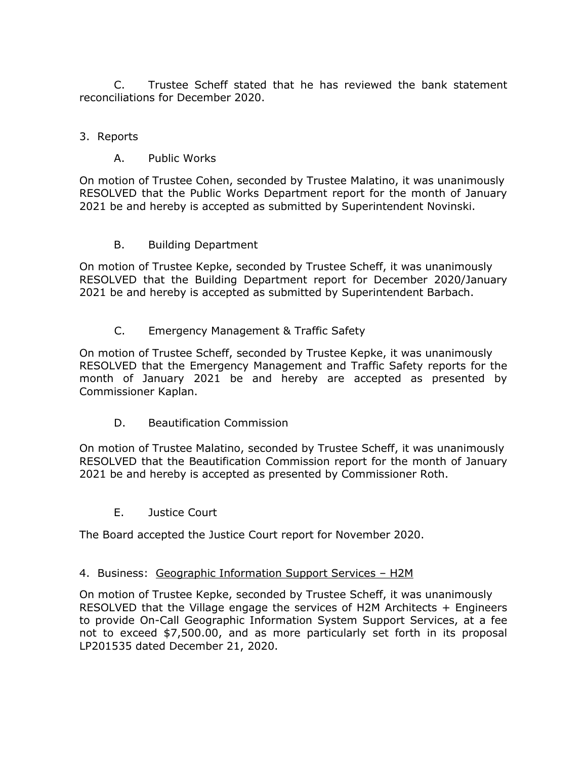C. Trustee Scheff stated that he has reviewed the bank statement reconciliations for December 2020.

# 3. Reports

# A. Public Works

On motion of Trustee Cohen, seconded by Trustee Malatino, it was unanimously RESOLVED that the Public Works Department report for the month of January 2021 be and hereby is accepted as submitted by Superintendent Novinski.

# B. Building Department

On motion of Trustee Kepke, seconded by Trustee Scheff, it was unanimously RESOLVED that the Building Department report for December 2020/January 2021 be and hereby is accepted as submitted by Superintendent Barbach.

# C. Emergency Management & Traffic Safety

On motion of Trustee Scheff, seconded by Trustee Kepke, it was unanimously RESOLVED that the Emergency Management and Traffic Safety reports for the month of January 2021 be and hereby are accepted as presented by Commissioner Kaplan.

D. Beautification Commission

On motion of Trustee Malatino, seconded by Trustee Scheff, it was unanimously RESOLVED that the Beautification Commission report for the month of January 2021 be and hereby is accepted as presented by Commissioner Roth.

E. Justice Court

The Board accepted the Justice Court report for November 2020.

# 4. Business: Geographic Information Support Services – H2M

On motion of Trustee Kepke, seconded by Trustee Scheff, it was unanimously RESOLVED that the Village engage the services of H2M Architects + Engineers to provide On-Call Geographic Information System Support Services, at a fee not to exceed \$7,500.00, and as more particularly set forth in its proposal LP201535 dated December 21, 2020.